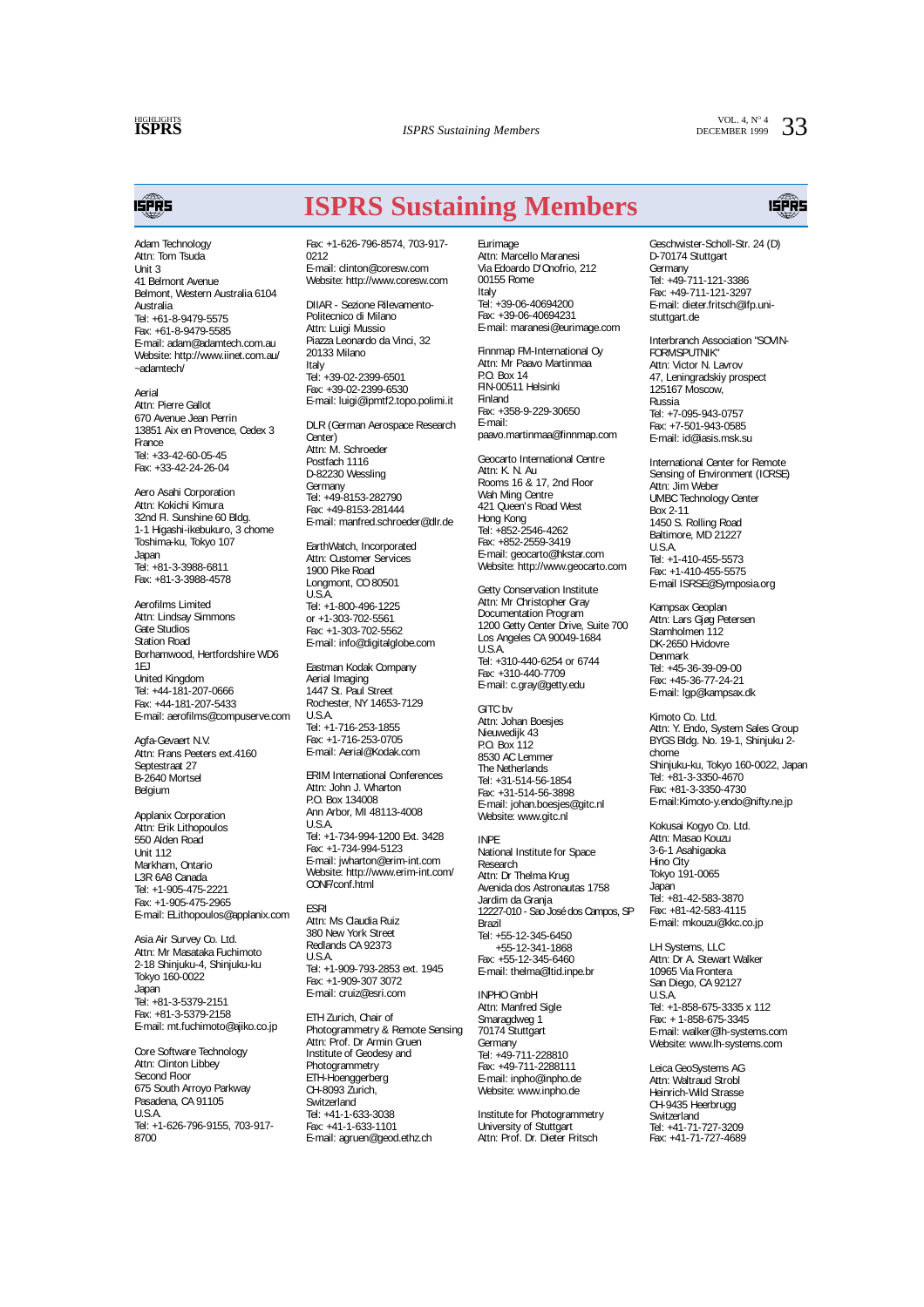# **HIGHLIGHTS**

**ISPRS** *ISPRS Sustaining Members* **DECEMBER 1999 33** 

ŞËŘS

**ISPRS Sustaining Members**

Adam Technology Attn: Tom Tsuda Unit 3 41 Belmont Avenue Belmont, Western Australia 6104 Australia Tel: +61-8-9479-5575 Fax: +61-8-9479-5585 E-mail: adam@adamtech.com.au Website: http://www.iinet.com.au/ ~adamtech/

Aerial Attn: Pierre Gallot 670 Avenue Jean Perrin 13851 Aix en Provence, Cedex 3 France Tel: +33-42-60-05-45 Fax: +33-42-24-26-04

Aero Asahi Corporation Attn: Kokichi Kimura 32nd Fl. Sunshine 60 Bldg. 1-1 Higashi-ikebukuro, 3 chome Toshima-ku, Tokyo 107 Japan Tel: +81-3-3988-6811 Fax: +81-3-3988-4578

Aerofilms Limited Attn: Lindsay Simmons Gate Studios Station Road Borhamwood, Hertfordshire WD6 1EJ United Kingdom Tel: +44-181-207-0666 Fax: +44-181-207-5433 E-mail: aerofilms@compuserve.com

Agfa-Gevaert N.V. Attn: Frans Peeters ext.4160 Septestraat 27 B-2640 Mortsel Belgium

Applanix Corporation Attn: Erik Lithopoulos 550 Alden Road Unit 112 Markham, Ontario L3R 6A8 Canada Tel: +1-905-475-2221 Fax: +1-905-475-2965 E-mail: ELithopoulos@applanix.com

Asia Air Survey Co. Ltd. Attn: Mr Masataka Fuchimoto 2-18 Shinjuku-4, Shinjuku-ku Tokyo 160-0022 Japan Tel: +81-3-5379-2151 Fax: +81-3-5379-2158 E-mail: mt.fuchimoto@ajiko.co.jp

Core Software Technology Attn: Clinton Libbey Second Floor 675 South Arroyo Parkway Pasadena, CA 91105 U.S.A. Tel: +1-626-796-9155, 703-917- 8700

Fax: +1-626-796-8574, 703-917- 0212 E-mail: clinton@coresw.com Website: http://www.coresw.com

DIIAR - Sezione Rilevamento-Politecnico di Milano Attn: Luigi Mussio Piazza Leonardo da Vinci, 32 20133 Milano Italy Tel: +39-02-2399-6501 Fax: +39-02-2399-6530 E-mail: luigi@ipmtf2.topo.polimi.it

DLR (German Aerospace Research Center) Attn: M. Schroeder Postfach 1116 D-82230 Wessling Germany Tel: +49-8153-282790 Fax: +49-8153-281444 E-mail: manfred.schroeder@dlr.de

EarthWatch, Incorporated Attn: Customer Services 1900 Pike Road Longmont, CO 80501  $I \subset \tilde{\Delta}$ Tel: +1-800-496-1225 or +1-303-702-5561 Fax: +1-303-702-5562 E-mail: info@digitalglobe.com

Eastman Kodak Company Aerial Imaging 1447 St. Paul Street Rochester, NY 14653-7129 U.S.A. Tel: +1-716-253-1855 Fax: +1-716-253-0705 E-mail: Aerial@Kodak.com

ERIM International Conferences Attn: John J. Wharton P.O. Box 134008 Ann Arbor, MI 48113-4008 U.S.A. Tel: +1-734-994-1200 Ext. 3428 Fax: +1-734-994-5123 E-mail: jwharton@erim-int.com Website: http://www.erim-int.com/ CONF/conf.html

ESRI Attn: Ms Claudia Ruiz 380 New York Street Redlands CA 92373 U.S.A. Tel: +1-909-793-2853 ext. 1945 Fax: +1-909-307 3072 E-mail: cruiz@esri.com

ETH Zurich, Chair of Photogrammetry & Remote Sensing Attn: Prof. Dr Armin Gruen Institute of Geodesy and Photogrammetry ETH-Hoenggerberg CH-8093 Zurich, Switzerland Tel: +41-1-633-3038 Fax: +41-1-633-1101 E-mail: agruen@geod.ethz.ch

Eurimage Attn: Marcello Maranesi Via Edoardo D'Onofrio, 212 00155 Rome Italy Tel: +39-06-40694200 Fax: +39-06-40694231 E-mail: maranesi@eurimage.com

Finnmap FM-International Oy Attn: Mr Paavo Martinmaa P.O. Box 14 FIN-00511 Helsinki Finland Fax: +358-9-229-30650 E-mail: paavo.martinmaa@finnmap.com

Geocarto International Centre Attn: K. N. Au Rooms 16 & 17, 2nd Floor Wah Ming Centre 421 Queen's Road West Hong Kong Tel: +852-2546-4262 Fax: +852-2559-3419 E-mail: geocarto@hkstar.com Website: http://www.geocarto.com

Getty Conservation Institute Attn: Mr Christopher Gray Documentation Program 1200 Getty Center Drive, Suite 700 Los Angeles CA 90049-1684 U.S.A. Tel: +310-440-6254 or 6744 Fax: +310-440-7709 E-mail: c.gray@getty.edu

GITC bv Attn: Johan Boesjes Nieuwedijk 43 P.O. Box 112 8530 AC Lemmer The Netherlands Tel: +31-514-56-1854 Fax: +31-514-56-3898 E-mail: johan.boesjes@gitc.nl Website: www.gitc.nl

INPE National Institute for Space Research Attn: Dr Thelma Krug Avenida dos Astronautas 1758 Jardim da Granja 12227-010 - Sao José dos Campos, SP Brazil Tel: +55-12-345-6450 +55-12-341-1868 Fax: +55-12-345-6460 E-mail: thelma@ltid.inpe.br

INPHO GmbH Attn: Manfred Sigle Smaragdweg 1 70174 Stuttgart Germany Tel: +49-711-228810 Fax: +49-711-2288111 E-mail: inpho@inpho.de Website: www.inpho.de

Institute for Photogrammetry University of Stuttgart Attn: Prof. Dr. Dieter Fritsch

Geschwister-Scholl-Str. 24 (D) D-70174 Stuttgart Germany Tel: +49-711-121-3386 Fax: +49-711-121-3297 E-mail: dieter.fritsch@ifp.unistuttgart.de

Interbranch Association "SOVIN-FORMSPUTNIK" Attn: Victor N. Lavrov 47, Leningradskiy prospect 125167 Moscow, Russia Tel: +7-095-943-0757 Fax: +7-501-943-0585 E-mail: id@iasis.msk.su

International Center for Remote Sensing of Environment (ICRSE) Attn: Jim Weber UMBC Technology Center Box 2-11 1450 S. Rolling Road Baltimore, MD 21227  $II \subseteq \Delta$ Tel: +1-410-455-5573 Fax: +1-410-455-5575 E-mail ISRSE@Symposia.org

Kampsax Geoplan Attn: Lars Gjøg Petersen Stamholmen 112 DK-2650 Hvidovre Denmark Tel: +45-36-39-09-00 Fax: +45-36-77-24-21 E-mail: lgp@kampsax.dk

Kimoto Co. Ltd. Attn: Y. Endo, System Sales Group BYGS Bldg. No. 19-1, Shinjuku 2 chome Shinjuku-ku, Tokyo 160-0022, Japan Tel: +81-3-3350-4670 Fax: +81-3-3350-4730 E-mail:Kimoto-y.endo@nifty.ne.jp

Kokusai Kogyo Co. Ltd. Attn: Masao Kouzu 3-6-1 Asahigaoka Hino City Tokyo 191-0065 Japan Tel: +81-42-583-3870 Fax: +81-42-583-4115

E-mail: mkouzu@kkc.co.jp

LH Systems, LLC Attn: Dr A. Stewart Walker 10965 Via Frontera San Diego, CA 92127 U.S.A. Tel: +1-858-675-3335 x 112 Fax: + 1-858-675-3345 E-mail: walker@lh-systems.com Website: www.lh-systems.com

Leica GeoSystems AG Attn: Waltraud Strobl Heinrich-Wild Strasse CH-9435 Heerbrugg Switzerland Tel: +41-71-727-3209 Fax: +41-71-727-4689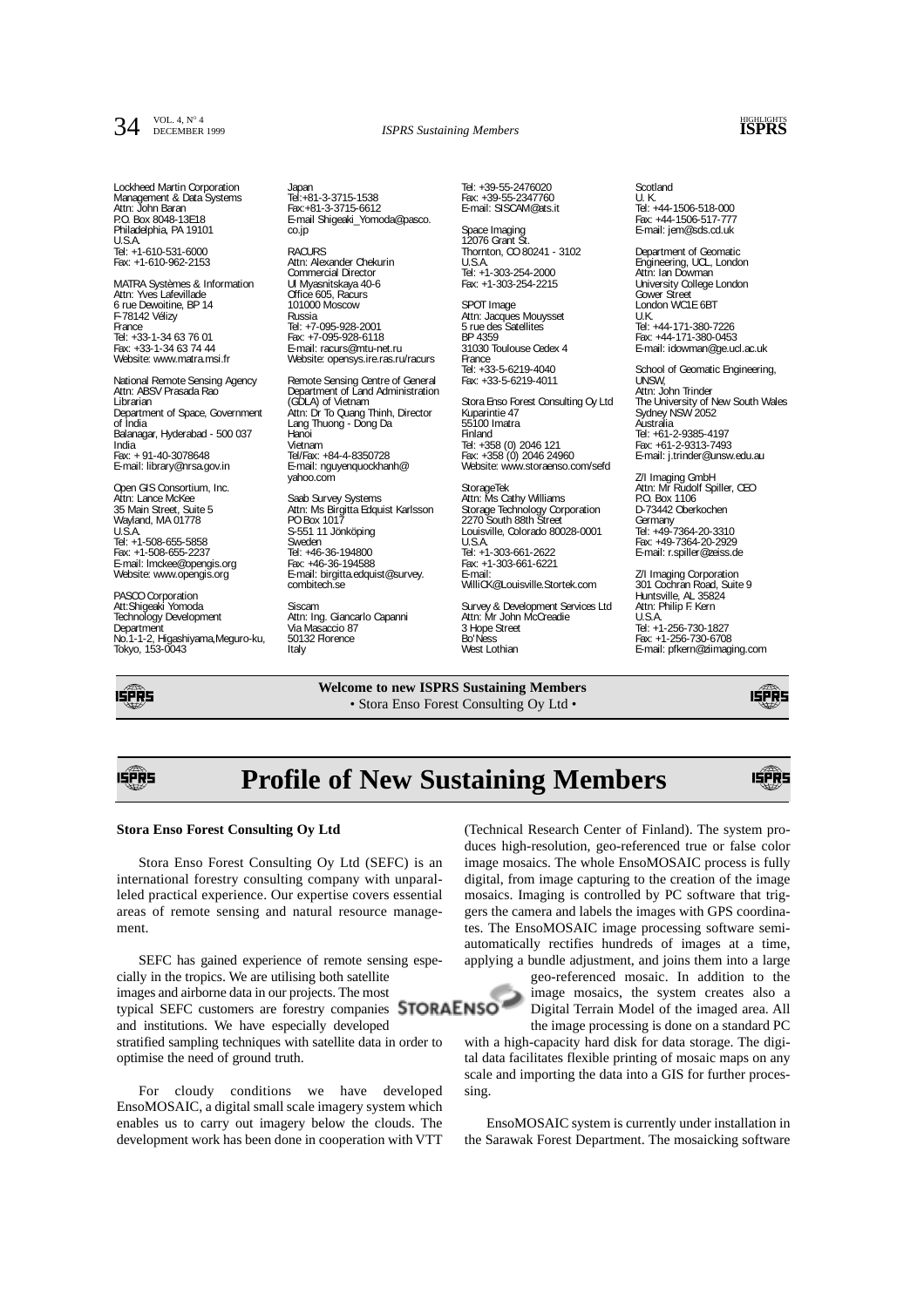34 <sup>VOL. 4, N<sup>O</sup> 4<br>
DECEMBER 1999 *ISPRS Sustaining Members* **ISPRS**</sup>

Lockheed Martin Corporation Management & Data Systems Attn: John Baran P.O. Box 8048-13E18 Philadelphia, PA 19101 U.S.A. Tel: +1-610-531-6000 Fax: +1-610-962-2153

MATRA Systèmes & Information Attn: Yves Lafevillade 6 rue Dewoitine, BP 14 F-78142 Vélizy France Tel: +33-1-34 63 76 01 Fax: +33-1-34 63 74 44 Website: www.matra.msi.fr

National Remote Sensing Agency Attn: ABSV Prasada Rao Librarian Department of Space, Government of India Balanagar, Hyderabad - 500 037 India Fax: + 91-40-3078648

E-mail: library@nrsa.gov.in

Open GIS Consortium, Inc. Attn: Lance McKee 35 Main Street, Suite 5 Wayland, MA 01778 U.S.A. Tel: +1-508-655-5858 Fax: +1-508-655-2237 E-mail: lmckee@opengis.org Website: www.opengis.org

PASCO Corporation Att:Shigeaki Yomoda Technology Development Department No.1-1-2, Higashiyama,Meguro-ku, Tokyo, 153-0043



IŞPRS

E-mail Shigeaki\_Yomoda@pasco. co.jp RACURS Attn: Alexander Chekurin Commercial Director Ul Myasnitskaya 40-6 Office 605, Racurs 101000 Moscow Russia Tel: +7-095-928-2001 Fax: +7-095-928-6118 E-mail: racurs@mtu-net.ru Website: opensys.ire.ras.ru/racurs Remote Sensing Centre of General Department of Land Administration (GDLA) of Vietnam Attn: Dr To Quang Thinh, Director Lang Thuong - Dong Da **Hanoi** Vietnam

Japan Tel:+81-3-3715-1538 Fax:+81-3-3715-6612

Tel/Fax: +84-4-8350728 E-mail: nguyenquockhanh@ yahoo.com Saab Survey Systems Attn: Ms Birgitta Edquist Karlsson PO Box 1017 S-551 11 Jönköping

Sweden Tel: +46-36-194800 Fax: +46-36-194588 E-mail: birgitta.edquist@survey. combitech.se

Siscam Attn: Ing. Giancarlo Capanni Via Masaccio 87 50132 Florence **Italy** 

Tel: +39-55-2476020 Fax: +39-55-2347760 E-mail: SISCAM@ats.it

Space Imaging<br>12076 Grant St. Thornton, CO 80241 - 3102 U.S.A. Tel: +1-303-254-2000 Fax: +1-303-254-2215

SPOT Image Attn: Jacques Mouysset 5 rue des Satellites BP 4359 31030 Toulouse Cedex 4 France Tel: +33-5-6219-4040 Fax: +33-5-6219-4011

Stora Enso Forest Consulting Oy Ltd Kuparintie 47 55100 Imatra Finland Tel: +358 (0) 2046 121 Fax: +358 (0) 2046 24960 Website: www.storaenso.com/sefd

StorageTek Attn: Ms Cathy Williams Storage Technology Corporation 2270 South 88th Street Louisville, Colorado 80028-0001  $II S A$ Tel: +1-303-661-2622 Fax: +1-303-661-6221 E-mail: WilliCK@Louisville.Stortek.com

Survey & Development Services Ltd Attn: Mr John McCreadie 3 Hope Street Bo'Ness West Lothian

Scotland U. K. Tel: +44-1506-518-000 Fax: +44-1506-517-777 E-mail: jem@sds.cd.uk

Department of Geomatic Engineering, UCL, London Attn: Ian Dowman University College London Gower Street London WC1E 6BT U.K. Tel: +44-171-380-7226 Fax: +44-171-380-0453

E-mail: idowman@ge.ucl.ac.uk

School of Geomatic Engineering, UNSW, Attn: John Trinder The University of New South Wales Sydney NSW 2052 Australia Tel: +61-2-9385-4197 Fax: +61-2-9313-7493 E-mail: j.trinder@unsw.edu.au

Z/I Imaging GmbH Attn: Mr Rudolf Spiller, CEO P.O. Box 1106 D-73442 Oberkochen Germany Tel: +49-7364-20-3310 Fax: +49-7364-20-2929 E-mail: r.spiller@zeiss.de

Z/I Imaging Corporation 301 Cochran Road, Suite 9 Huntsville, AL 35824 Attn: Philip F. Kern U.S.A. Tel: +1-256-730-1827 Fax: +1-256-730-6708 E-mail: pfkern@ziimaging.com

**Welcome to new ISPRS Sustaining Members** • Stora Enso Forest Consulting Oy Ltd •



IŞPÂS

# **Profile of New Sustaining Members**

#### **Stora Enso Forest Consulting Oy Ltd**

Stora Enso Forest Consulting Oy Ltd (SEFC) is an international forestry consulting company with unparalleled practical experience. Our expertise covers essential areas of remote sensing and natural resource management.

SEFC has gained experience of remote sensing especially in the tropics. We are utilising both satellite images and airborne data in our projects. The most **STORAENSO** typical SEFC customers are forestry companies and institutions. We have especially developed stratified sampling techniques with satellite data in order to

optimise the need of ground truth.

For cloudy conditions we have developed EnsoMOSAIC, a digital small scale imagery system which enables us to carry out imagery below the clouds. The development work has been done in cooperation with VTT (Technical Research Center of Finland). The system produces high-resolution, geo-referenced true or false color image mosaics. The whole EnsoMOSAIC process is fully digital, from image capturing to the creation of the image mosaics. Imaging is controlled by PC software that triggers the camera and labels the images with GPS coordinates. The EnsoMOSAIC image processing software semiautomatically rectifies hundreds of images at a time, applying a bundle adjustment, and joins them into a large

geo-referenced mosaic. In addition to the image mosaics, the system creates also a Digital Terrain Model of the imaged area. All the image processing is done on a standard PC

with a high-capacity hard disk for data storage. The digital data facilitates flexible printing of mosaic maps on any scale and importing the data into a GIS for further processing.

EnsoMOSAIC system is currently under installation in the Sarawak Forest Department. The mosaicking software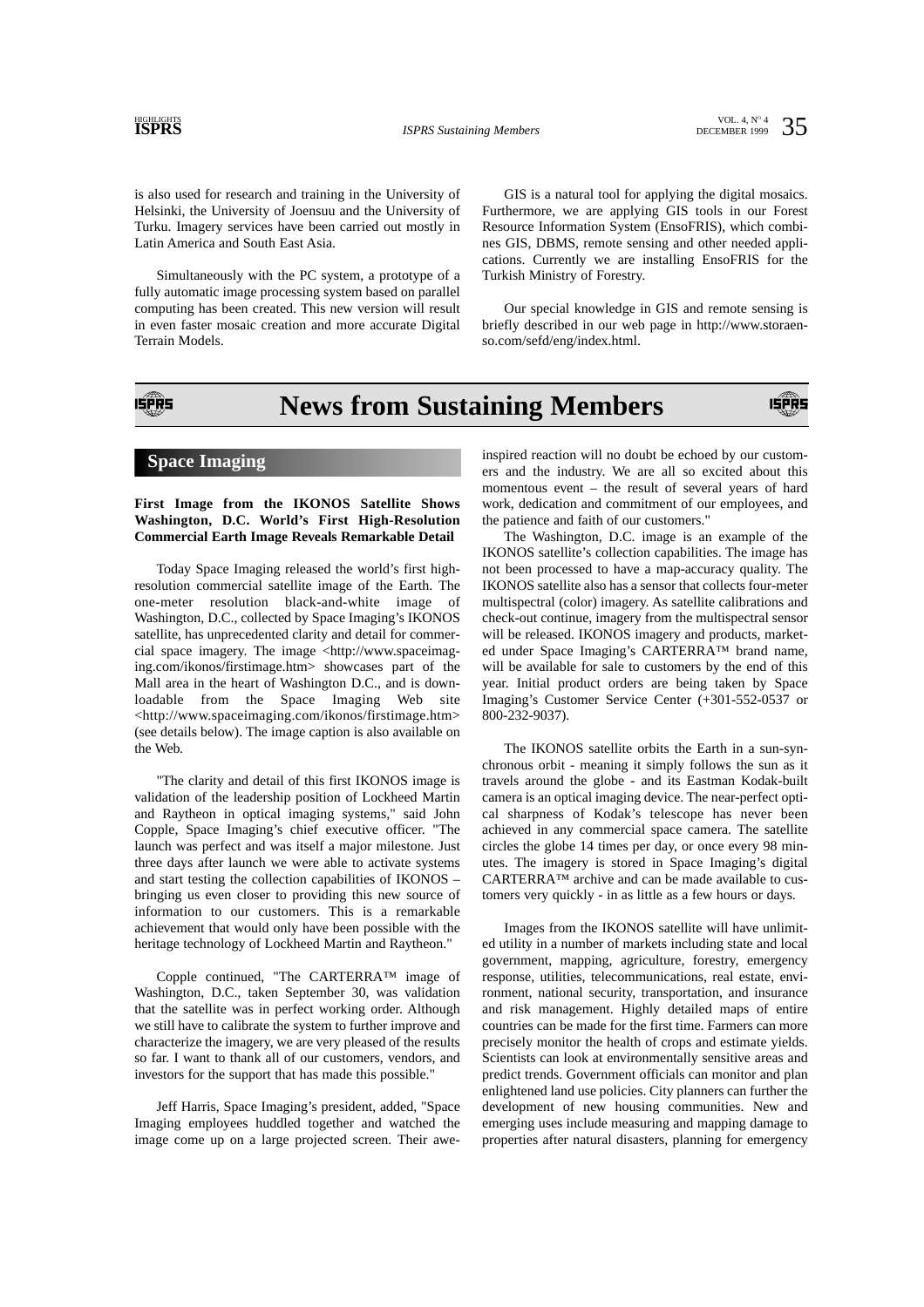is also used for research and training in the University of Helsinki, the University of Joensuu and the University of Turku. Imagery services have been carried out mostly in Latin America and South East Asia.

Simultaneously with the PC system, a prototype of a fully automatic image processing system based on parallel computing has been created. This new version will result in even faster mosaic creation and more accurate Digital Terrain Models.

GIS is a natural tool for applying the digital mosaics. Furthermore, we are applying GIS tools in our Forest Resource Information System (EnsoFRIS), which combines GIS, DBMS, remote sensing and other needed applications. Currently we are installing EnsoFRIS for the Turkish Ministry of Forestry.

Our special knowledge in GIS and remote sensing is briefly described in our web page in http://www.storaenso.com/sefd/eng/index.html.



# **News from Sustaining Members**

**ISPRE** 

## **Space Imaging**

#### **First Image from the IKONOS Satellite Shows Washington, D.C. World's First High-Resolution Commercial Earth Image Reveals Remarkable Detail**

Today Space Imaging released the world's first highresolution commercial satellite image of the Earth. The one-meter resolution black-and-white image of Washington, D.C., collected by Space Imaging's IKONOS satellite, has unprecedented clarity and detail for commercial space imagery. The image <http://www.spaceimaging.com/ikonos/firstimage.htm> showcases part of the Mall area in the heart of Washington D.C., and is downloadable from the Space Imaging Web site <http://www.spaceimaging.com/ikonos/firstimage.htm> (see details below). The image caption is also available on the Web.

"The clarity and detail of this first IKONOS image is validation of the leadership position of Lockheed Martin and Raytheon in optical imaging systems," said John Copple, Space Imaging's chief executive officer. "The launch was perfect and was itself a major milestone. Just three days after launch we were able to activate systems and start testing the collection capabilities of IKONOS – bringing us even closer to providing this new source of information to our customers. This is a remarkable achievement that would only have been possible with the heritage technology of Lockheed Martin and Raytheon."

Copple continued, "The CARTERRA™ image of Washington, D.C., taken September 30, was validation that the satellite was in perfect working order. Although we still have to calibrate the system to further improve and characterize the imagery, we are very pleased of the results so far. I want to thank all of our customers, vendors, and investors for the support that has made this possible."

Jeff Harris, Space Imaging's president, added, "Space Imaging employees huddled together and watched the image come up on a large projected screen. Their aweinspired reaction will no doubt be echoed by our customers and the industry. We are all so excited about this momentous event – the result of several years of hard work, dedication and commitment of our employees, and the patience and faith of our customers."

The Washington, D.C. image is an example of the IKONOS satellite's collection capabilities. The image has not been processed to have a map-accuracy quality. The IKONOS satellite also has a sensor that collects four-meter multispectral (color) imagery. As satellite calibrations and check-out continue, imagery from the multispectral sensor will be released. IKONOS imagery and products, marketed under Space Imaging's CARTERRA™ brand name, will be available for sale to customers by the end of this year. Initial product orders are being taken by Space Imaging's Customer Service Center (+301-552-0537 or 800-232-9037).

The IKONOS satellite orbits the Earth in a sun-synchronous orbit - meaning it simply follows the sun as it travels around the globe - and its Eastman Kodak-built camera is an optical imaging device. The near-perfect optical sharpness of Kodak's telescope has never been achieved in any commercial space camera. The satellite circles the globe 14 times per day, or once every 98 minutes. The imagery is stored in Space Imaging's digital CARTERRA™ archive and can be made available to customers very quickly - in as little as a few hours or days.

Images from the IKONOS satellite will have unlimited utility in a number of markets including state and local government, mapping, agriculture, forestry, emergency response, utilities, telecommunications, real estate, environment, national security, transportation, and insurance and risk management. Highly detailed maps of entire countries can be made for the first time. Farmers can more precisely monitor the health of crops and estimate yields. Scientists can look at environmentally sensitive areas and predict trends. Government officials can monitor and plan enlightened land use policies. City planners can further the development of new housing communities. New and emerging uses include measuring and mapping damage to properties after natural disasters, planning for emergency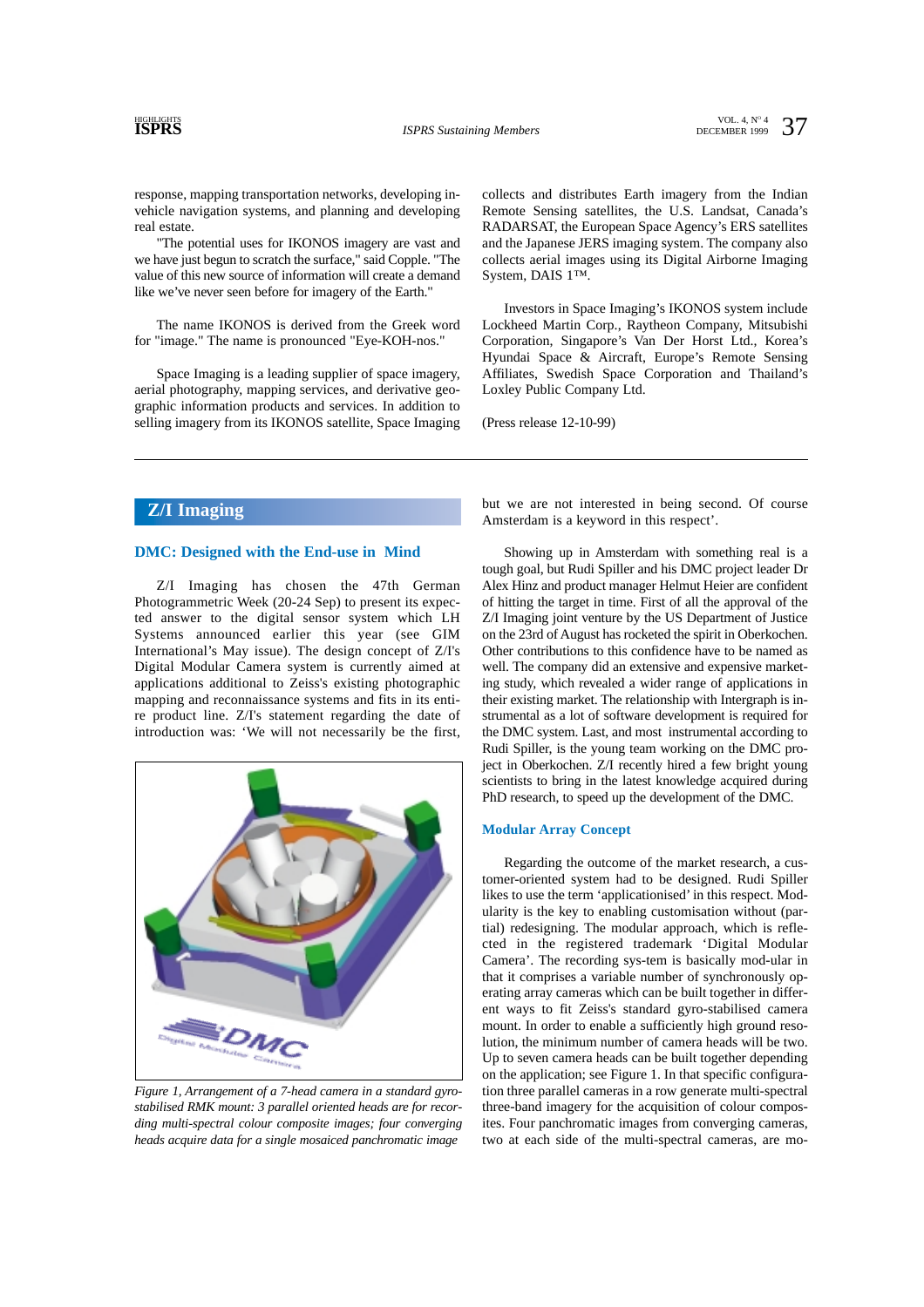response, mapping transportation networks, developing invehicle navigation systems, and planning and developing real estate.

"The potential uses for IKONOS imagery are vast and we have just begun to scratch the surface," said Copple. "The value of this new source of information will create a demand like we've never seen before for imagery of the Earth."

The name IKONOS is derived from the Greek word for "image." The name is pronounced "Eye-KOH-nos."

Space Imaging is a leading supplier of space imagery, aerial photography, mapping services, and derivative geographic information products and services. In addition to selling imagery from its IKONOS satellite, Space Imaging collects and distributes Earth imagery from the Indian Remote Sensing satellites, the U.S. Landsat, Canada's RADARSAT, the European Space Agency's ERS satellites and the Japanese JERS imaging system. The company also collects aerial images using its Digital Airborne Imaging System, DAIS 1™.

Investors in Space Imaging's IKONOS system include Lockheed Martin Corp., Raytheon Company, Mitsubishi Corporation, Singapore's Van Der Horst Ltd., Korea's Hyundai Space & Aircraft, Europe's Remote Sensing Affiliates, Swedish Space Corporation and Thailand's Loxley Public Company Ltd.

(Press release 12-10-99)

## **Z/I Imaging**

### **DMC: Designed with the End-use in Mind**

Z/I Imaging has chosen the 47th German Photogrammetric Week (20-24 Sep) to present its expected answer to the digital sensor system which LH Systems announced earlier this year (see GIM International's May issue). The design concept of Z/I's Digital Modular Camera system is currently aimed at applications additional to Zeiss's existing photographic mapping and reconnaissance systems and fits in its entire product line. Z/I's statement regarding the date of introduction was: 'We will not necessarily be the first,



*Figure 1, Arrangement of a 7-head camera in a standard gyrostabilised RMK mount: 3 parallel oriented heads are for recording multi-spectral colour composite images; four converging heads acquire data for a single mosaiced panchromatic image*

but we are not interested in being second. Of course Amsterdam is a keyword in this respect'.

Showing up in Amsterdam with something real is a tough goal, but Rudi Spiller and his DMC project leader Dr Alex Hinz and product manager Helmut Heier are confident of hitting the target in time. First of all the approval of the Z/I Imaging joint venture by the US Department of Justice on the 23rd of August has rocketed the spirit in Oberkochen. Other contributions to this confidence have to be named as well. The company did an extensive and expensive marketing study, which revealed a wider range of applications in their existing market. The relationship with Intergraph is instrumental as a lot of software development is required for the DMC system. Last, and most instrumental according to Rudi Spiller, is the young team working on the DMC project in Oberkochen. Z/I recently hired a few bright young scientists to bring in the latest knowledge acquired during PhD research, to speed up the development of the DMC.

### **Modular Array Concept**

Regarding the outcome of the market research, a customer-oriented system had to be designed. Rudi Spiller likes to use the term 'applicationised' in this respect. Modularity is the key to enabling customisation without (partial) redesigning. The modular approach, which is reflected in the registered trademark 'Digital Modular Camera'. The recording sys-tem is basically mod-ular in that it comprises a variable number of synchronously operating array cameras which can be built together in different ways to fit Zeiss's standard gyro-stabilised camera mount. In order to enable a sufficiently high ground resolution, the minimum number of camera heads will be two. Up to seven camera heads can be built together depending on the application; see Figure 1. In that specific configuration three parallel cameras in a row generate multi-spectral three-band imagery for the acquisition of colour composites. Four panchromatic images from converging cameras, two at each side of the multi-spectral cameras, are mo-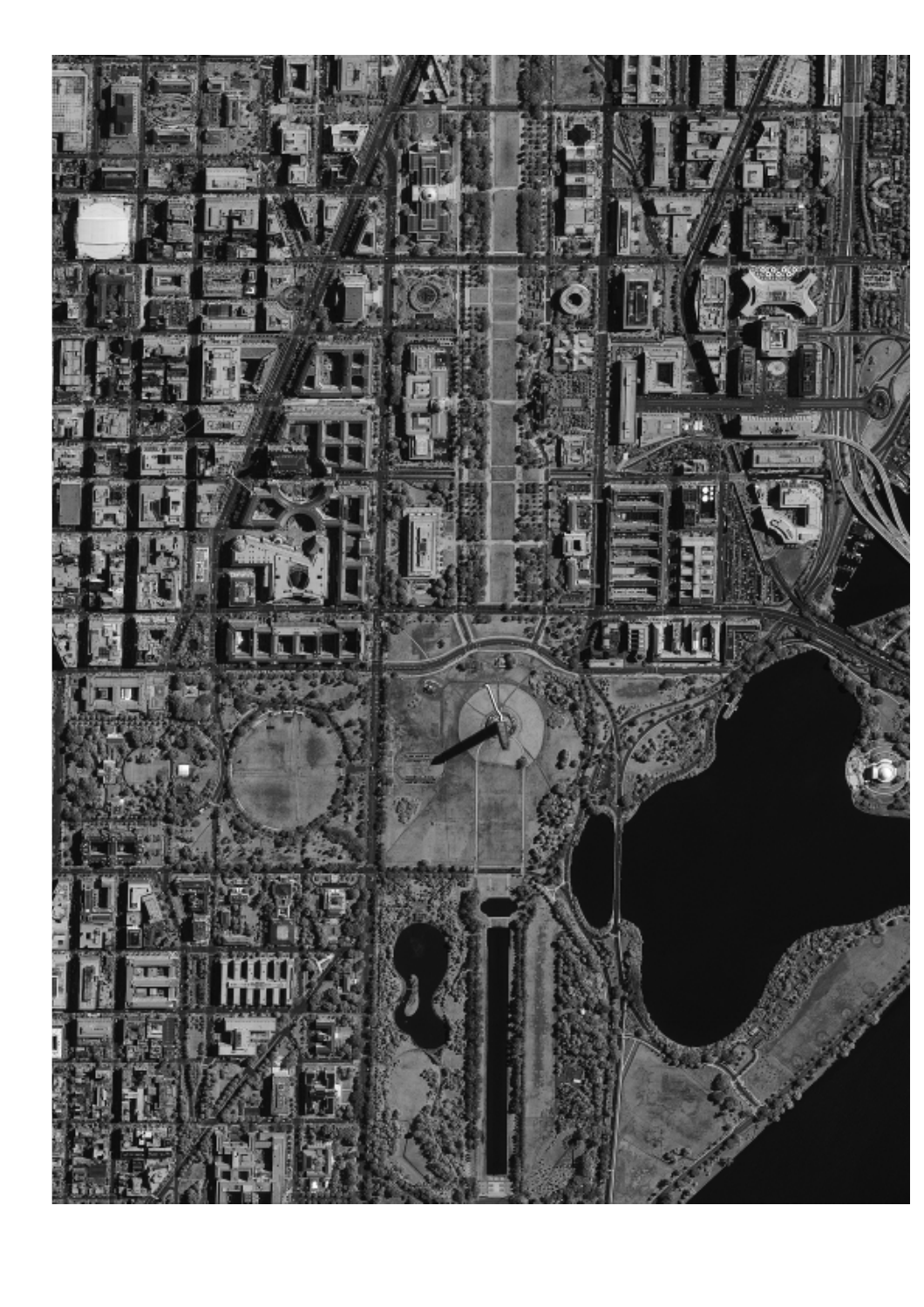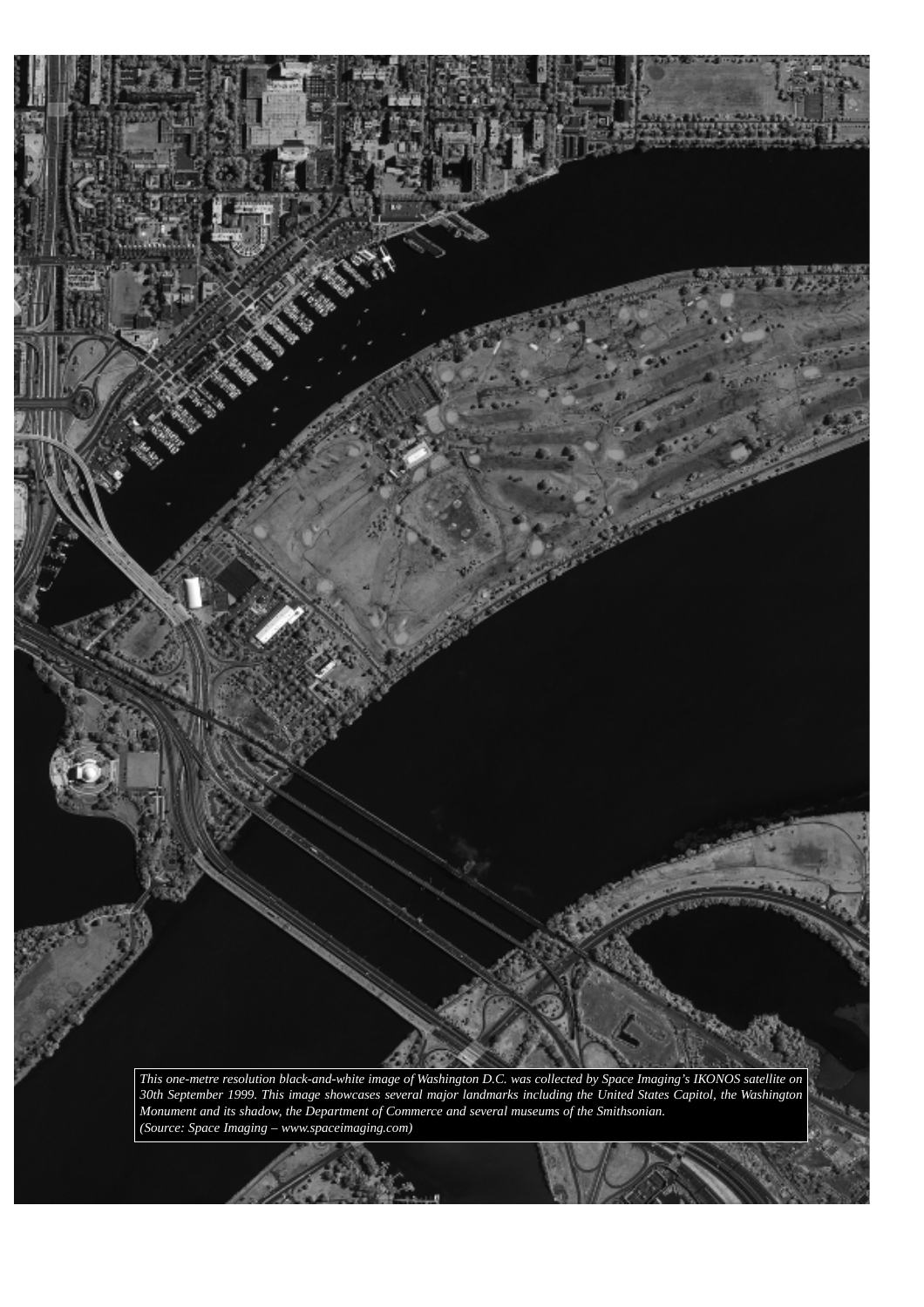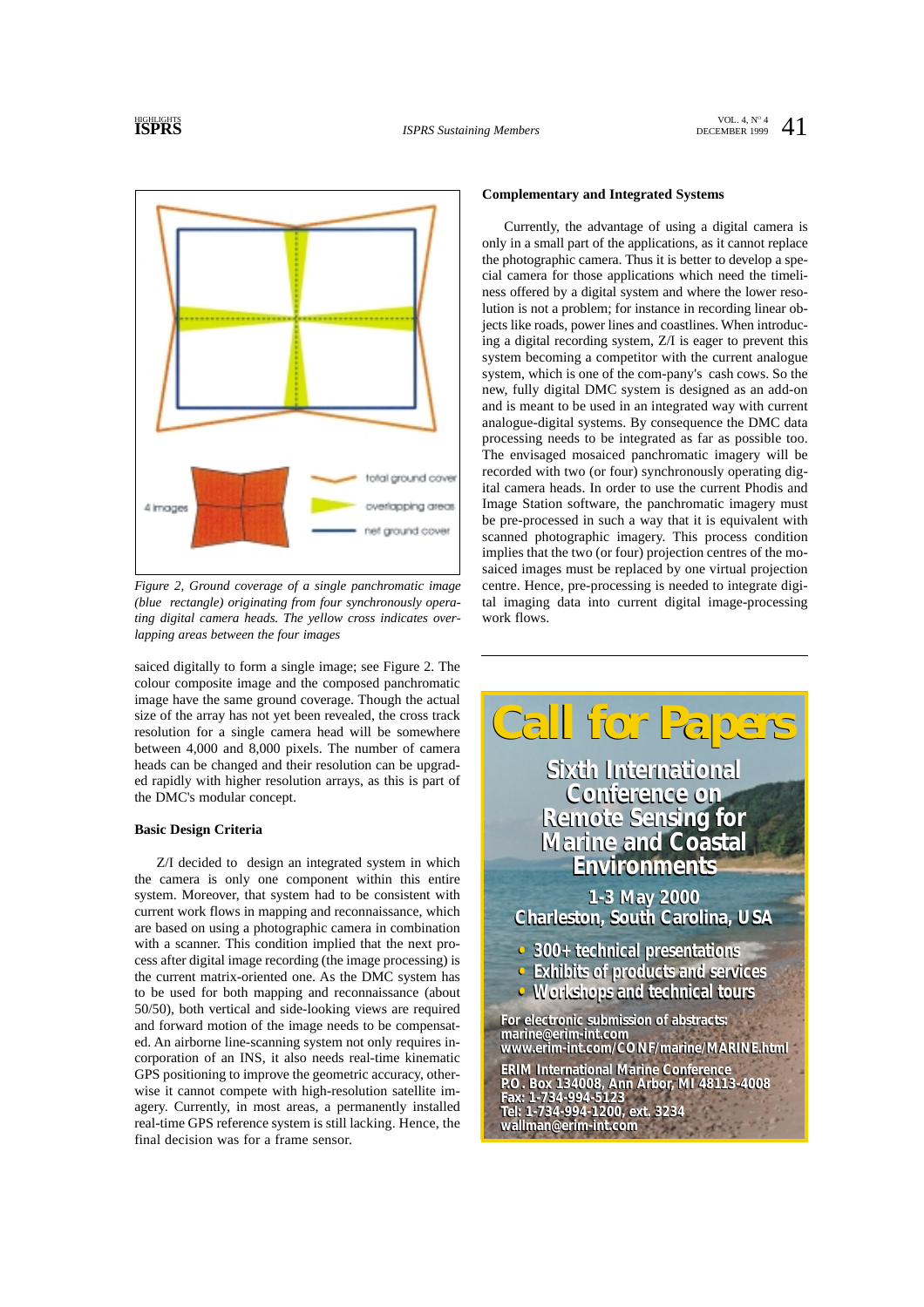

*Figure 2, Ground coverage of a single panchromatic image (blue rectangle) originating from four synchronously operating digital camera heads. The yellow cross indicates overlapping areas between the four images*

saiced digitally to form a single image; see Figure 2. The colour composite image and the composed panchromatic image have the same ground coverage. Though the actual size of the array has not yet been revealed, the cross track resolution for a single camera head will be somewhere between 4,000 and 8,000 pixels. The number of camera heads can be changed and their resolution can be upgraded rapidly with higher resolution arrays, as this is part of the DMC's modular concept.

#### **Basic Design Criteria**

Z/I decided to design an integrated system in which the camera is only one component within this entire system. Moreover, that system had to be consistent with current work flows in mapping and reconnaissance, which are based on using a photographic camera in combination with a scanner. This condition implied that the next process after digital image recording (the image processing) is the current matrix-oriented one. As the DMC system has to be used for both mapping and reconnaissance (about 50/50), both vertical and side-looking views are required and forward motion of the image needs to be compensated. An airborne line-scanning system not only requires incorporation of an INS, it also needs real-time kinematic GPS positioning to improve the geometric accuracy, otherwise it cannot compete with high-resolution satellite imagery. Currently, in most areas, a permanently installed real-time GPS reference system is still lacking. Hence, the final decision was for a frame sensor.

### **Complementary and Integrated Systems**

Currently, the advantage of using a digital camera is only in a small part of the applications, as it cannot replace the photographic camera. Thus it is better to develop a special camera for those applications which need the timeliness offered by a digital system and where the lower resolution is not a problem; for instance in recording linear objects like roads, power lines and coastlines. When introducing a digital recording system, Z/I is eager to prevent this system becoming a competitor with the current analogue system, which is one of the com-pany's cash cows. So the new, fully digital DMC system is designed as an add-on and is meant to be used in an integrated way with current analogue-digital systems. By consequence the DMC data processing needs to be integrated as far as possible too. The envisaged mosaiced panchromatic imagery will be recorded with two (or four) synchronously operating digital camera heads. In order to use the current Phodis and Image Station software, the panchromatic imagery must be pre-processed in such a way that it is equivalent with scanned photographic imagery. This process condition implies that the two (or four) projection centres of the mosaiced images must be replaced by one virtual projection centre. Hence, pre-processing is needed to integrate digital imaging data into current digital image-processing work flows.